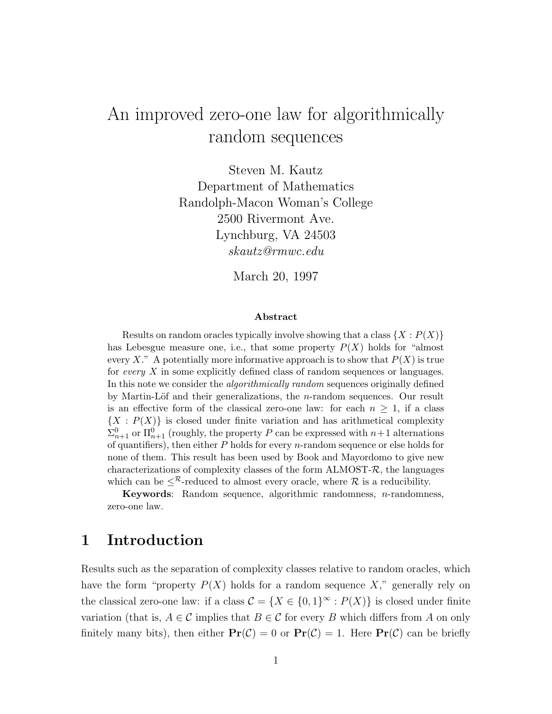# An improved zero-one law for algorithmically random sequences

Steven M. Kautz Department of Mathematics Randolph-Macon Woman's College 2500 Rivermont Ave. Lynchburg, VA 24503 skautz@rmwc.edu

March 20, 1997

#### Abstract

Results on random oracles typically involve showing that a class  $\{X : P(X)\}\$ has Lebesgue measure one, i.e., that some property  $P(X)$  holds for "almost every X." A potentially more informative approach is to show that  $P(X)$  is true for every X in some explicitly defined class of random sequences or languages. In this note we consider the algorithmically random sequences originally defined by Martin-Löf and their generalizations, the  $n$ -random sequences. Our result is an effective form of the classical zero-one law: for each  $n \geq 1$ , if a class  $\{X : P(X)\}\$ is closed under finite variation and has arithmetical complexity  $\Sigma_{n+1}^0$  or  $\Pi_{n+1}^0$  (roughly, the property P can be expressed with  $n+1$  alternations of quantifiers), then either  $P$  holds for every  $n$ -random sequence or else holds for none of them. This result has been used by Book and Mayordomo to give new characterizations of complexity classes of the form  $\Lambda L MOST-R$ , the languages which can be  $\leq^{\mathcal{R}}$ -reduced to almost every oracle, where  $\mathcal{R}$  is a reducibility.

Keywords: Random sequence, algorithmic randomness, n-randomness, zero-one law.

## 1 Introduction

Results such as the separation of complexity classes relative to random oracles, which have the form "property  $P(X)$  holds for a random sequence X," generally rely on the classical zero-one law: if a class  $\mathcal{C} = \{X \in \{0,1\}^\infty : P(X)\}\$ is closed under finite variation (that is,  $A \in \mathcal{C}$  implies that  $B \in \mathcal{C}$  for every B which differs from A on only finitely many bits), then either  $Pr(\mathcal{C}) = 0$  or  $Pr(\mathcal{C}) = 1$ . Here  $Pr(\mathcal{C})$  can be briefly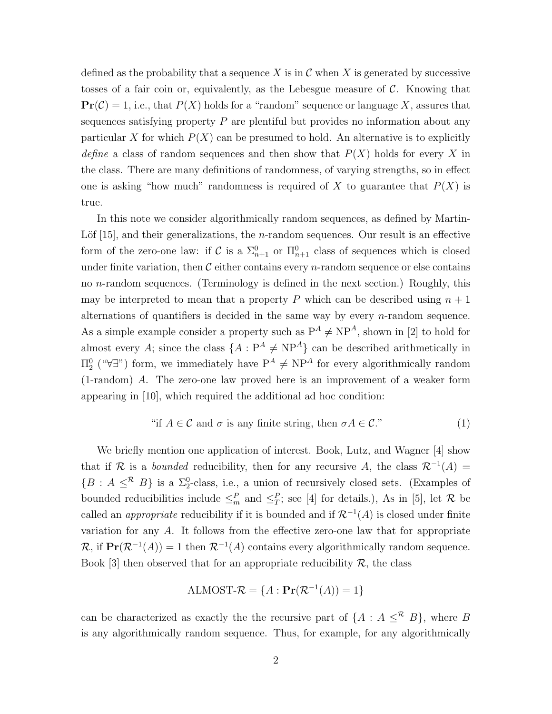defined as the probability that a sequence X is in  $\mathcal C$  when X is generated by successive tosses of a fair coin or, equivalently, as the Lebesgue measure of  $\mathcal{C}$ . Knowing that  $\Pr(\mathcal{C}) = 1$ , i.e., that  $P(X)$  holds for a "random" sequence or language X, assures that sequences satisfying property  $P$  are plentiful but provides no information about any particular X for which  $P(X)$  can be presumed to hold. An alternative is to explicitly define a class of random sequences and then show that  $P(X)$  holds for every X in the class. There are many definitions of randomness, of varying strengths, so in effect one is asking "how much" randomness is required of X to guarantee that  $P(X)$  is true.

In this note we consider algorithmically random sequences, as defined by Martin-Löf  $|15|$ , and their generalizations, the *n*-random sequences. Our result is an effective form of the zero-one law: if C is a  $\Sigma_{n+1}^0$  or  $\Pi_{n+1}^0$  class of sequences which is closed under finite variation, then  $\mathcal C$  either contains every *n*-random sequence or else contains no n-random sequences. (Terminology is defined in the next section.) Roughly, this may be interpreted to mean that a property P which can be described using  $n + 1$ alternations of quantifiers is decided in the same way by every  $n$ -random sequence. As a simple example consider a property such as  $P^A \neq NP^A$ , shown in [2] to hold for almost every A; since the class  $\{A: P^A \neq NP^A\}$  can be described arithmetically in  $\Pi_2^0$  (" $\forall \exists$ ") form, we immediately have  $P^A \neq NP^A$  for every algorithmically random (1-random) A. The zero-one law proved here is an improvement of a weaker form appearing in [10], which required the additional ad hoc condition:

"if 
$$
A \in \mathcal{C}
$$
 and  $\sigma$  is any finite string, then  $\sigma A \in \mathcal{C}$ ." (1)

We briefly mention one application of interest. Book, Lutz, and Wagner [4] show that if R is a *bounded* reducibility, then for any recursive A, the class  $\mathcal{R}^{-1}(A) =$  $\{B : A \leq^{\mathcal{R}} B\}$  is a  $\Sigma_2^0$ -class, i.e., a union of recursively closed sets. (Examples of bounded reducibilities include  $\leq^P_m$  and  $\leq^P_T$ ; see [4] for details.), As in [5], let R be called an *appropriate* reducibility if it is bounded and if  $\mathcal{R}^{-1}(A)$  is closed under finite variation for any A. It follows from the effective zero-one law that for appropriate  $\mathcal{R}$ , if  $\Pr(\mathcal{R}^{-1}(A)) = 1$  then  $\mathcal{R}^{-1}(A)$  contains every algorithmically random sequence. Book [3] then observed that for an appropriate reducibility  $\mathcal{R}$ , the class

ALMOST-
$$
\mathcal{R}
$$
 = { $A$  :  $\mathbf{Pr}(\mathcal{R}^{-1}(A))$  = 1}

can be characterized as exactly the the recursive part of  $\{A : A \leq^R B\}$ , where B is any algorithmically random sequence. Thus, for example, for any algorithmically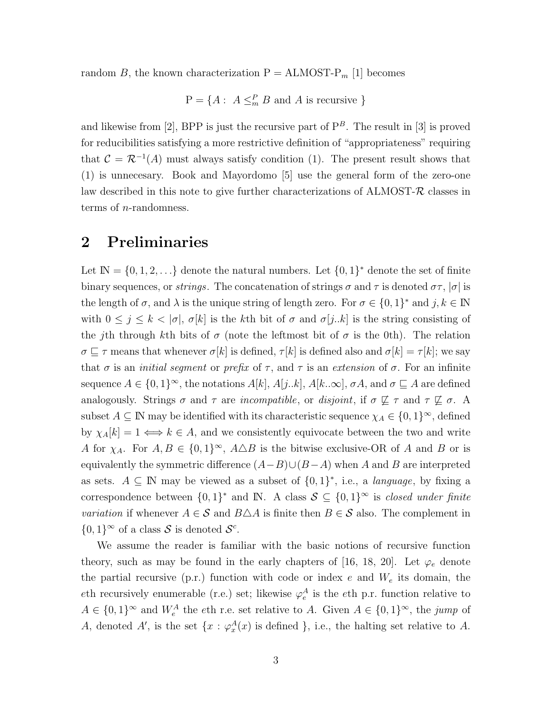random B, the known characterization  $P = ALMOST-P_m$  [1] becomes

$$
P = \{A : A \leq^P_m B \text{ and } A \text{ is recursive }\}
$$

and likewise from [2], BPP is just the recursive part of  $P^B$ . The result in [3] is proved for reducibilities satisfying a more restrictive definition of "appropriateness" requiring that  $\mathcal{C} = \mathcal{R}^{-1}(A)$  must always satisfy condition (1). The present result shows that (1) is unnecesary. Book and Mayordomo [5] use the general form of the zero-one law described in this note to give further characterizations of  $\Lambda$ LMOST- $\mathcal R$  classes in terms of n-randomness.

#### 2 Preliminaries

Let  $\mathbb{N} = \{0, 1, 2, \ldots\}$  denote the natural numbers. Let  $\{0, 1\}^*$  denote the set of finite binary sequences, or *strings*. The concatenation of strings  $\sigma$  and  $\tau$  is denoted  $\sigma\tau$ ,  $|\sigma|$  is the length of  $\sigma$ , and  $\lambda$  is the unique string of length zero. For  $\sigma \in \{0,1\}^*$  and  $j, k \in \mathbb{N}$ with  $0 \leq j \leq k < |\sigma|$ ,  $\sigma[k]$  is the kth bit of  $\sigma$  and  $\sigma[j..k]$  is the string consisting of the jth through kth bits of  $\sigma$  (note the leftmost bit of  $\sigma$  is the 0th). The relation  $\sigma \sqsubseteq \tau$  means that whenever  $\sigma[k]$  is defined,  $\tau[k]$  is defined also and  $\sigma[k] = \tau[k]$ ; we say that  $\sigma$  is an *initial segment* or *prefix* of  $\tau$ , and  $\tau$  is an *extension* of  $\sigma$ . For an infinite sequence  $A \in \{0,1\}^{\infty}$ , the notations  $A[k], A[j..k], A[k..\infty], \sigma A$ , and  $\sigma \sqsubseteq A$  are defined analogously. Strings  $\sigma$  and  $\tau$  are *incompatible*, or *disjoint*, if  $\sigma \not\sqsubseteq \tau$  and  $\tau \not\sqsubseteq \sigma$ . A subset  $A \subseteq \mathbb{N}$  may be identified with its characteristic sequence  $\chi_A \in \{0,1\}^{\infty}$ , defined by  $\chi_A[k] = 1 \Longleftrightarrow k \in A$ , and we consistently equivocate between the two and write A for  $\chi_A$ . For  $A, B \in \{0,1\}^{\infty}$ ,  $A \triangle B$  is the bitwise exclusive-OR of A and B or is equivalently the symmetric difference  $(A-B)\cup (B-A)$  when A and B are interpreted as sets.  $A \subseteq \mathbb{N}$  may be viewed as a subset of  $\{0,1\}^*$ , i.e., a *language*, by fixing a correspondence between  $\{0,1\}^*$  and IN. A class  $S \subseteq \{0,1\}^{\infty}$  is *closed under finite variation* if whenever  $A \in \mathcal{S}$  and  $B \triangle A$  is finite then  $B \in \mathcal{S}$  also. The complement in  $\{0,1\}^{\infty}$  of a class S is denoted  $S^{c}$ .

We assume the reader is familiar with the basic notions of recursive function theory, such as may be found in the early chapters of [16, 18, 20]. Let  $\varphi_e$  denote the partial recursive (p.r.) function with code or index  $e$  and  $W_e$  its domain, the eth recursively enumerable (r.e.) set; likewise  $\varphi_e^A$  is the eth p.r. function relative to  $A \in \{0,1\}^{\infty}$  and  $W_e^A$  the eth r.e. set relative to A. Given  $A \in \{0,1\}^{\infty}$ , the jump of A, denoted A', is the set  $\{x : \varphi_x^A(x) \text{ is defined }\},\$ i.e., the halting set relative to A.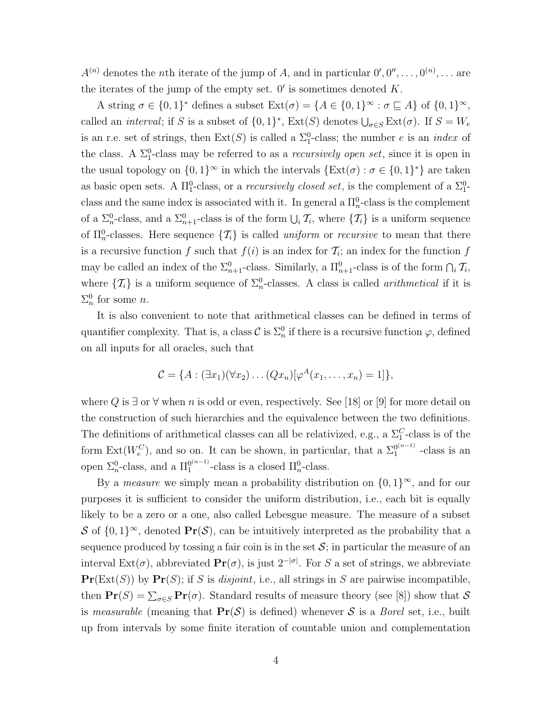$A^{(n)}$  denotes the *n*th iterate of the jump of A, and in particular  $0', 0'', \ldots, 0^{(n)}, \ldots$  are the iterates of the jump of the empty set.  $0'$  is sometimes denoted  $K$ .

A string  $\sigma \in \{0,1\}^*$  defines a subset  $\text{Ext}(\sigma) = \{A \in \{0,1\}^\infty : \sigma \sqsubseteq A\}$  of  $\{0,1\}^\infty$ , called an *interval*; if S is a subset of  $\{0,1\}^*$ ,  $\text{Ext}(S)$  denotes  $\bigcup_{\sigma\in S}\text{Ext}(\sigma)$ . If  $S=W_e$ is an r.e. set of strings, then  $Ext(S)$  is called a  $\Sigma_1^0$ -class; the number e is an *index* of the class. A  $\Sigma_1^0$ -class may be referred to as a *recursively open set*, since it is open in the usual topology on  $\{0,1\}^{\infty}$  in which the intervals  $\{\text{Ext}(\sigma) : \sigma \in \{0,1\}^*\}$  are taken as basic open sets. A  $\Pi_1^0$ -class, or a *recursively closed set*, is the complement of a  $\Sigma_1^0$ class and the same index is associated with it. In general a  $\Pi_n^0$ -class is the complement of a  $\Sigma_n^0$ -class, and a  $\Sigma_{n+1}^0$ -class is of the form  $\bigcup_i \mathcal{T}_i$ , where  $\{\mathcal{T}_i\}$  is a uniform sequence of  $\Pi_n^0$ -classes. Here sequence  $\{\mathcal{T}_i\}$  is called *uniform* or *recursive* to mean that there is a recursive function f such that  $f(i)$  is an index for  $\mathcal{T}_i$ ; an index for the function f may be called an index of the  $\Sigma_{n+1}^0$ -class. Similarly, a  $\Pi_{n+1}^0$ -class is of the form  $\bigcap_i \mathcal{T}_i$ , where  $\{\mathcal{T}_i\}$  is a uniform sequence of  $\Sigma_n^0$ -classes. A class is called *arithmetical* if it is  $\Sigma_n^0$  for some *n*.

It is also convenient to note that arithmetical classes can be defined in terms of quantifier complexity. That is, a class  $\mathcal{C}$  is  $\Sigma_n^0$  if there is a recursive function  $\varphi$ , defined on all inputs for all oracles, such that

$$
\mathcal{C} = \{A : (\exists x_1)(\forall x_2) \dots (Qx_n)[\varphi^A(x_1, \dots, x_n) = 1]\},\
$$

where Q is  $\exists$  or  $\forall$  when n is odd or even, respectively. See [18] or [9] for more detail on the construction of such hierarchies and the equivalence between the two definitions. The definitions of arithmetical classes can all be relativized, e.g., a  $\Sigma_1^C$ -class is of the form  $\text{Ext}(W_e^C)$ , and so on. It can be shown, in particular, that a  $\Sigma_1^{0^{(n-1)}}$  $_1^{\frac{0^{(n-1)}}{n}}$  -class is an open  $\Sigma_n^0$ -class, and a  $\Pi_1^{0^{(n-1)}}$  $_1^{0(n-1)}$ -class is a closed  $\Pi_n^0$ -class.

By a *measure* we simply mean a probability distribution on  $\{0,1\}^{\infty}$ , and for our purposes it is sufficient to consider the uniform distribution, i.e., each bit is equally likely to be a zero or a one, also called Lebesgue measure. The measure of a subset S of  $\{0,1\}^{\infty}$ , denoted  $\Pr(\mathcal{S})$ , can be intuitively interpreted as the probability that a sequence produced by tossing a fair coin is in the set  $S$ ; in particular the measure of an interval Ext( $\sigma$ ), abbreviated  $Pr(\sigma)$ , is just  $2^{-|\sigma|}$ . For S a set of strings, we abbreviate  $\Pr(\text{Ext}(S))$  by  $\Pr(S)$ ; if S is *disjoint*, i.e., all strings in S are pairwise incompatible, then  $Pr(S) = \sum_{\sigma \in S} Pr(\sigma)$ . Standard results of measure theory (see [8]) show that S is measurable (meaning that  $Pr(S)$  is defined) whenever S is a Borel set, i.e., built up from intervals by some finite iteration of countable union and complementation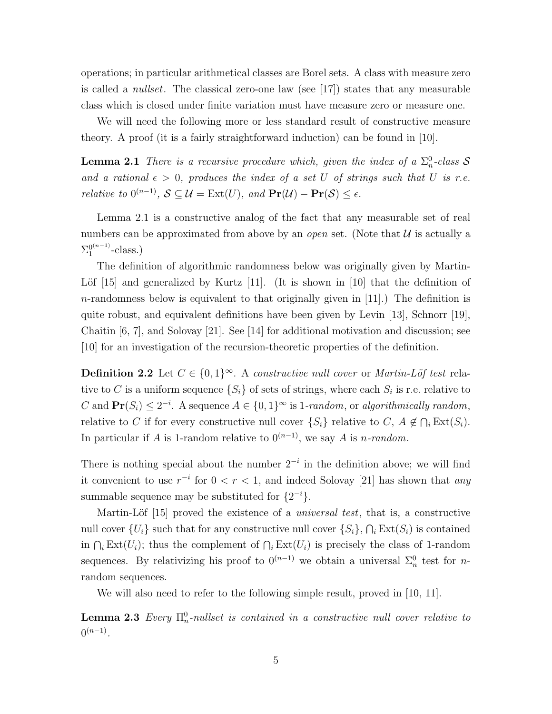operations; in particular arithmetical classes are Borel sets. A class with measure zero is called a *nullset*. The classical zero-one law (see [17]) states that any measurable class which is closed under finite variation must have measure zero or measure one.

We will need the following more or less standard result of constructive measure theory. A proof (it is a fairly straightforward induction) can be found in [10].

**Lemma 2.1** There is a recursive procedure which, given the index of a  $\Sigma_n^0$ -class S and a rational  $\epsilon > 0$ , produces the index of a set U of strings such that U is r.e. *relative to*  $0^{(n-1)}$ ,  $S \subseteq \mathcal{U} = \text{Ext}(U)$ , and  $\text{Pr}(\mathcal{U}) - \text{Pr}(\mathcal{S}) \leq \epsilon$ .

Lemma 2.1 is a constructive analog of the fact that any measurable set of real numbers can be approximated from above by an *open* set. (Note that  $\mathcal{U}$  is actually a  $\Sigma_1^{0^{(n-1)}}$  $_1^{\frac{0(n-1)}{n}-class.}$ 

The definition of algorithmic randomness below was originally given by Martin-Löf  $[15]$  and generalized by Kurtz  $[11]$ . (It is shown in  $[10]$  that the definition of  $n$ -randomness below is equivalent to that originally given in [11].) The definition is quite robust, and equivalent definitions have been given by Levin [13], Schnorr [19], Chaitin [6, 7], and Solovay [21]. See [14] for additional motivation and discussion; see [10] for an investigation of the recursion-theoretic properties of the definition.

**Definition 2.2** Let  $C \in \{0,1\}^{\infty}$ . A constructive null cover or Martin-Löf test relative to C is a uniform sequence  $\{S_i\}$  of sets of strings, where each  $S_i$  is r.e. relative to C and  $Pr(S_i) \leq 2^{-i}$ . A sequence  $A \in \{0, 1\}^{\infty}$  is 1-random, or algorithmically random, relative to C if for every constructive null cover  $\{S_i\}$  relative to C,  $A \notin \bigcap_i \text{Ext}(S_i)$ . In particular if A is 1-random relative to  $0^{(n-1)}$ , we say A is n-random.

There is nothing special about the number  $2^{-i}$  in the definition above; we will find it convenient to use  $r^{-i}$  for  $0 < r < 1$ , and indeed Solovay [21] has shown that any summable sequence may be substituted for  $\{2^{-i}\}.$ 

Martin-Löf  $[15]$  proved the existence of a *universal test*, that is, a constructive null cover  $\{U_i\}$  such that for any constructive null cover  $\{S_i\}$ ,  $\bigcap_i \text{Ext}(S_i)$  is contained in  $\bigcap_i \text{Ext}(U_i)$ ; thus the complement of  $\bigcap_i \text{Ext}(U_i)$  is precisely the class of 1-random sequences. By relativizing his proof to  $0^{(n-1)}$  we obtain a universal  $\Sigma_n^0$  test for *n*random sequences.

We will also need to refer to the following simple result, proved in [10, 11].

**Lemma 2.3** Every  $\Pi_n^0$ -nullset is contained in a constructive null cover relative to  $0^{(n-1)}$ .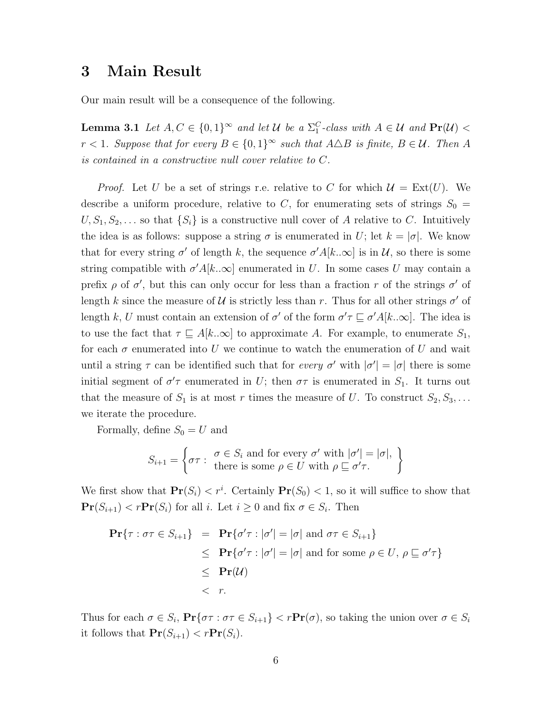### 3 Main Result

Our main result will be a consequence of the following.

**Lemma 3.1** Let  $A, C \in \{0, 1\}^{\infty}$  and let U be a  $\Sigma_1^C$ -class with  $A \in \mathcal{U}$  and  $\Pr(\mathcal{U})$  <  $r < 1$ . Suppose that for every  $B \in \{0,1\}^{\infty}$  such that  $A \triangle B$  is finite,  $B \in \mathcal{U}$ . Then A is contained in a constructive null cover relative to C.

*Proof.* Let U be a set of strings r.e. relative to C for which  $\mathcal{U} = \text{Ext}(U)$ . We describe a uniform procedure, relative to C, for enumerating sets of strings  $S_0 =$  $U, S_1, S_2, \ldots$  so that  $\{S_i\}$  is a constructive null cover of A relative to C. Intuitively the idea is as follows: suppose a string  $\sigma$  is enumerated in U; let  $k = |\sigma|$ . We know that for every string  $\sigma'$  of length k, the sequence  $\sigma' A[k..\infty]$  is in U, so there is some string compatible with  $\sigma' A[k..\infty]$  enumerated in U. In some cases U may contain a prefix  $\rho$  of  $\sigma'$ , but this can only occur for less than a fraction r of the strings  $\sigma'$  of length k since the measure of U is strictly less than r. Thus for all other strings  $\sigma'$  of length k, U must contain an extension of  $\sigma'$  of the form  $\sigma' \tau \sqsubseteq \sigma' A[k..\infty]$ . The idea is to use the fact that  $\tau \subseteq A[k..\infty]$  to approximate A. For example, to enumerate  $S_1$ , for each  $\sigma$  enumerated into U we continue to watch the enumeration of U and wait until a string  $\tau$  can be identified such that for *every*  $\sigma'$  with  $|\sigma'| = |\sigma|$  there is some initial segment of  $\sigma'$  enumerated in U; then  $\sigma\tau$  is enumerated in  $S_1$ . It turns out that the measure of  $S_1$  is at most r times the measure of U. To construct  $S_2, S_3, \ldots$ we iterate the procedure.

Formally, define  $S_0 = U$  and

$$
S_{i+1} = \left\{ \sigma \tau : \begin{array}{l} \sigma \in S_i \text{ and for every } \sigma' \text{ with } |\sigma'| = |\sigma|, \\ \text{there is some } \rho \in U \text{ with } \rho \sqsubseteq \sigma' \tau. \end{array} \right\}
$$

We first show that  $Pr(S_i) < r^i$ . Certainly  $Pr(S_0) < 1$ , so it will suffice to show that  $\mathbf{Pr}(S_{i+1}) < r \mathbf{Pr}(S_i)$  for all i. Let  $i \geq 0$  and fix  $\sigma \in S_i$ . Then

$$
\begin{array}{rcl} \mathbf{Pr}\{\tau : \sigma\tau \in S_{i+1}\} & = & \mathbf{Pr}\{\sigma'\tau : |\sigma'| = |\sigma| \text{ and } \sigma\tau \in S_{i+1}\} \\ & \leq & \mathbf{Pr}\{\sigma'\tau : |\sigma'| = |\sigma| \text{ and for some } \rho \in U, \, \rho \sqsubseteq \sigma'\tau\} \\ & \leq & \mathbf{Pr}(\mathcal{U}) \\ & < & r. \end{array}
$$

Thus for each  $\sigma \in S_i$ ,  $\Pr{\sigma \tau : \sigma \tau \in S_{i+1}}$  <  $r\Pr(\sigma)$ , so taking the union over  $\sigma \in S_i$ it follows that  $\mathbf{Pr}(S_{i+1}) < r \mathbf{Pr}(S_i)$ .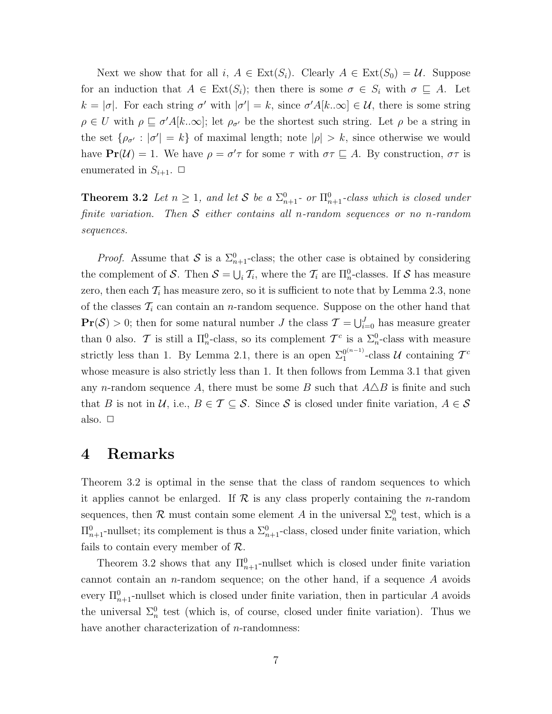Next we show that for all  $i, A \in \text{Ext}(S_i)$ . Clearly  $A \in \text{Ext}(S_0) = \mathcal{U}$ . Suppose for an induction that  $A \in \text{Ext}(S_i)$ ; then there is some  $\sigma \in S_i$  with  $\sigma \subseteq A$ . Let  $k = |\sigma|$ . For each string  $\sigma'$  with  $|\sigma'| = k$ , since  $\sigma' A[k..\infty] \in \mathcal{U}$ , there is some string  $\rho \in U$  with  $\rho \sqsubseteq \sigma' A[k..\infty]$ ; let  $\rho_{\sigma'}$  be the shortest such string. Let  $\rho$  be a string in the set  $\{\rho_{\sigma'}: |\sigma'| = k\}$  of maximal length; note  $|\rho| > k$ , since otherwise we would have  $\Pr(\mathcal{U}) = 1$ . We have  $\rho = \sigma' \tau$  for some  $\tau$  with  $\sigma \tau \subseteq A$ . By construction,  $\sigma \tau$  is enumerated in  $S_{i+1}$ .  $\Box$ 

**Theorem 3.2** Let  $n \geq 1$ , and let S be a  $\sum_{n=1}^0$  or  $\prod_{n=1}^0$ -class which is closed under finite variation. Then  $S$  either contains all n-random sequences or no n-random sequences.

*Proof.* Assume that S is a  $\Sigma_{n+1}^0$ -class; the other case is obtained by considering the complement of S. Then  $S = \bigcup_i T_i$ , where the  $T_i$  are  $\Pi_n^0$ -classes. If S has measure zero, then each  $\mathcal{T}_i$  has measure zero, so it is sufficient to note that by Lemma 2.3, none of the classes  $\mathcal{T}_i$  can contain an *n*-random sequence. Suppose on the other hand that  $\Pr(S) > 0$ ; then for some natural number J the class  $\mathcal{T} = \bigcup_{i=0}^{J}$  has measure greater than 0 also. T is still a  $\Pi_n^0$ -class, so its complement  $\mathcal{T}^c$  is a  $\Sigma_n^0$ -class with measure strictly less than 1. By Lemma 2.1, there is an open  $\Sigma_1^{0^{(n-1)}}$  $1^{\binom{0^{(n-1)}}{1}}$ -class U containing  $\mathcal{T}^c$ whose measure is also strictly less than 1. It then follows from Lemma 3.1 that given any n-random sequence A, there must be some B such that  $A\Delta B$  is finite and such that B is not in U, i.e.,  $B \in \mathcal{T} \subseteq \mathcal{S}$ . Since S is closed under finite variation,  $A \in \mathcal{S}$ also.  $\Box$ 

#### 4 Remarks

Theorem 3.2 is optimal in the sense that the class of random sequences to which it applies cannot be enlarged. If  $\mathcal R$  is any class properly containing the *n*-random sequences, then  $\mathcal R$  must contain some element A in the universal  $\Sigma_n^0$  test, which is a  $\Pi_{n+1}^0$ -nullset; its complement is thus a  $\Sigma_{n+1}^0$ -class, closed under finite variation, which fails to contain every member of  $\mathcal{R}$ .

Theorem 3.2 shows that any  $\Pi_{n+1}^0$ -nullset which is closed under finite variation cannot contain an n-random sequence; on the other hand, if a sequence A avoids every  $\Pi_{n+1}^0$ -nullset which is closed under finite variation, then in particular A avoids the universal  $\Sigma_n^0$  test (which is, of course, closed under finite variation). Thus we have another characterization of  $n$ -randomness: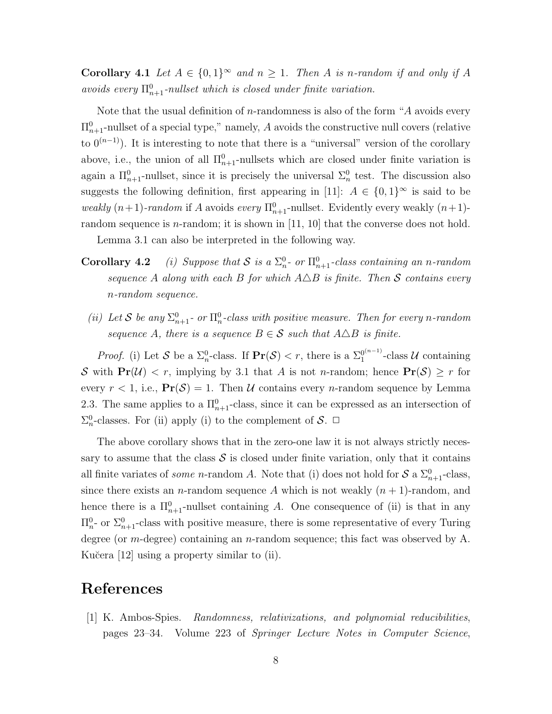**Corollary 4.1** Let  $A \in \{0,1\}^{\infty}$  and  $n \geq 1$ . Then A is n-random if and only if A avoids every  $\Pi_{n+1}^0$ -nullset which is closed under finite variation.

Note that the usual definition of  $n$ -randomness is also of the form "A avoids every  $\Pi_{n+1}^0$ -nullset of a special type," namely, A avoids the constructive null covers (relative to  $0^{(n-1)}$ ). It is interesting to note that there is a "universal" version of the corollary above, i.e., the union of all  $\Pi_{n+1}^0$ -nullsets which are closed under finite variation is again a  $\Pi_{n+1}^0$ -nullset, since it is precisely the universal  $\Sigma_n^0$  test. The discussion also suggests the following definition, first appearing in [11]:  $A \in \{0,1\}^{\infty}$  is said to be weakly  $(n+1)$ -random if A avoids every  $\Pi_{n+1}^0$ -nullset. Evidently every weakly  $(n+1)$ random sequence is *n*-random; it is shown in  $[11, 10]$  that the converse does not hold.

Lemma 3.1 can also be interpreted in the following way.

- **Corollary 4.2** (i) Suppose that S is a  $\Sigma_n^0$  or  $\Pi_{n+1}^0$ -class containing an n-random sequence A along with each B for which  $A\Delta B$  is finite. Then S contains every n-random sequence.
- (ii) Let S be any  $\Sigma_{n+1}^0$  or  $\Pi_n^0$ -class with positive measure. Then for every n-random sequence A, there is a sequence  $B \in \mathcal{S}$  such that  $A \triangle B$  is finite.

*Proof.* (i) Let S be a  $\Sigma_n^0$ -class. If  $\Pr(S) < r$ , there is a  $\Sigma_1^{0^{(n-1)}}$  $_1^{\frac{0^{(n-1)}}{n}}$ -class U containing S with  $Pr(\mathcal{U}) < r$ , implying by 3.1 that A is not n-random; hence  $Pr(\mathcal{S}) \ge r$  for every  $r < 1$ , i.e.,  $\Pr(\mathcal{S}) = 1$ . Then U contains every *n*-random sequence by Lemma 2.3. The same applies to a  $\Pi_{n+1}^0$ -class, since it can be expressed as an intersection of  $\Sigma_n^0$ -classes. For (ii) apply (i) to the complement of  $S$ .  $\Box$ 

The above corollary shows that in the zero-one law it is not always strictly necessary to assume that the class  $S$  is closed under finite variation, only that it contains all finite variates of *some* n-random A. Note that (i) does not hold for  $S$  a  $\Sigma_{n+1}^0$ -class, since there exists an *n*-random sequence A which is not weakly  $(n + 1)$ -random, and hence there is a  $\Pi_{n+1}^0$ -nullset containing A. One consequence of (ii) is that in any  $\Pi_{n}^{0}$  or  $\Sigma_{n+1}^{0}$ -class with positive measure, there is some representative of every Turing degree (or *m*-degree) containing an *n*-random sequence; this fact was observed by A. Kučera [12] using a property similar to (ii).

#### References

[1] K. Ambos-Spies. Randomness, relativizations, and polynomial reducibilities, pages 23–34. Volume 223 of Springer Lecture Notes in Computer Science,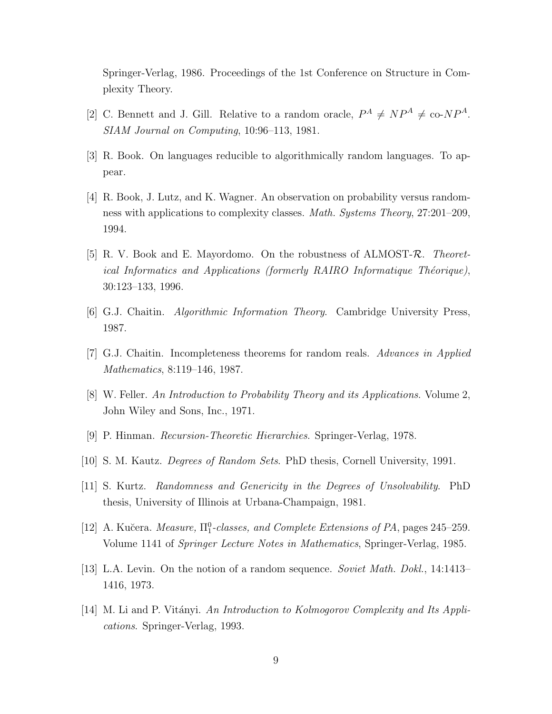Springer-Verlag, 1986. Proceedings of the 1st Conference on Structure in Complexity Theory.

- [2] C. Bennett and J. Gill. Relative to a random oracle,  $P^A \neq NP^A \neq$  co- $NP^A$ . SIAM Journal on Computing, 10:96–113, 1981.
- [3] R. Book. On languages reducible to algorithmically random languages. To appear.
- [4] R. Book, J. Lutz, and K. Wagner. An observation on probability versus randomness with applications to complexity classes. Math. Systems Theory, 27:201–209, 1994.
- [5] R. V. Book and E. Mayordomo. On the robustness of ALMOST-R. Theoretical Informatics and Applications (formerly RAIRO Informatique Théorique), 30:123–133, 1996.
- [6] G.J. Chaitin. Algorithmic Information Theory. Cambridge University Press, 1987.
- [7] G.J. Chaitin. Incompleteness theorems for random reals. Advances in Applied Mathematics, 8:119–146, 1987.
- [8] W. Feller. An Introduction to Probability Theory and its Applications. Volume 2, John Wiley and Sons, Inc., 1971.
- [9] P. Hinman. Recursion-Theoretic Hierarchies. Springer-Verlag, 1978.
- [10] S. M. Kautz. Degrees of Random Sets. PhD thesis, Cornell University, 1991.
- [11] S. Kurtz. Randomness and Genericity in the Degrees of Unsolvability. PhD thesis, University of Illinois at Urbana-Champaign, 1981.
- [12] A. Kučera. *Measure*,  $\Pi_1^0$ -classes, and *Complete Extensions of PA*, pages 245–259. Volume 1141 of Springer Lecture Notes in Mathematics, Springer-Verlag, 1985.
- [13] L.A. Levin. On the notion of a random sequence. Soviet Math. Dokl., 14:1413– 1416, 1973.
- [14] M. Li and P. Vitányi. An Introduction to Kolmogorov Complexity and Its Applications. Springer-Verlag, 1993.